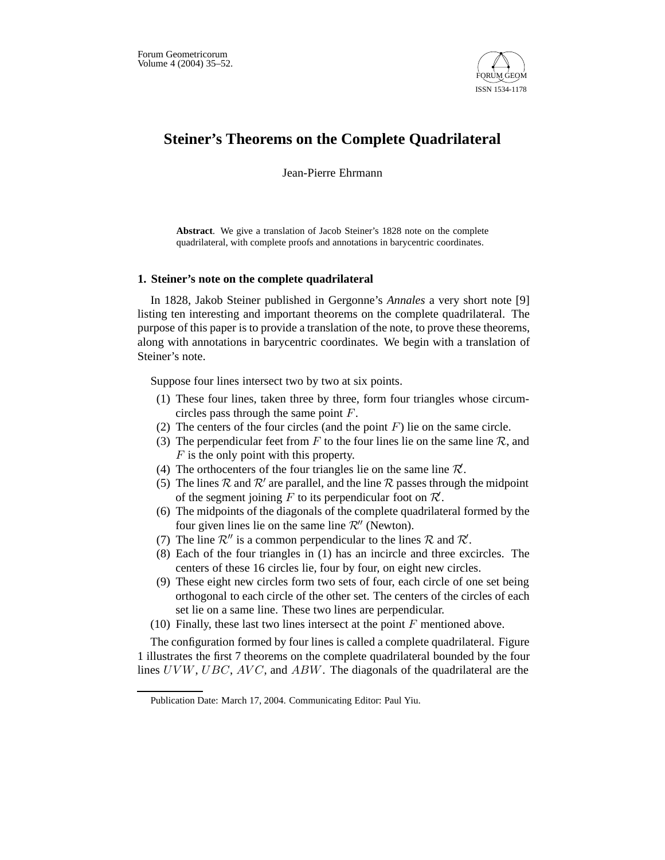

# **Steiner's Theorems on the Complete Quadrilateral**

Jean-Pierre Ehrmann

**Abstract**. We give a translation of Jacob Steiner's 1828 note on the complete quadrilateral, with complete proofs and annotations in barycentric coordinates.

# **1. Steiner's note on the complete quadrilateral**

In 1828, Jakob Steiner published in Gergonne's *Annales* a very short note [9] listing ten interesting and important theorems on the complete quadrilateral. The purpose of this paper is to provide a translation of the note, to prove these theorems, along with annotations in barycentric coordinates. We begin with a translation of Steiner's note.

Suppose four lines intersect two by two at six points.

- (1) These four lines, taken three by three, form four triangles whose circumcircles pass through the same point F.
- (2) The centers of the four circles (and the point  $F$ ) lie on the same circle.
- (3) The perpendicular feet from F to the four lines lie on the same line R, and  $F$  is the only point with this property.
- (4) The orthocenters of the four triangles lie on the same line  $\mathcal{R}$ .
- (5) The lines  $\mathcal R$  and  $\mathcal R'$  are parallel, and the line  $\mathcal R$  passes through the midpoint of the segment joining  $\overline{F}$  to its perpendicular foot on  $\mathcal{R}$ .
- (6) The midpoints of the diagonals of the complete quadrilateral formed by the four given lines lie on the same line  $\mathcal{R}''$  (Newton).
- (7) The line  $\mathcal{R}''$  is a common perpendicular to the lines  $\mathcal R$  and  $\mathcal R'$ .
- (8) Each of the four triangles in (1) has an incircle and three excircles. The centers of these 16 circles lie, four by four, on eight new circles.
- (9) These eight new circles form two sets of four, each circle of one set being orthogonal to each circle of the other set. The centers of the circles of each set lie on a same line. These two lines are perpendicular.
- (10) Finally, these last two lines intersect at the point  $F$  mentioned above.

The configuration formed by four lines is called a complete quadrilateral. Figure 1 illustrates the first 7 theorems on the complete quadrilateral bounded by the four lines  $UVW$ ,  $UBC$ ,  $AVC$ , and  $ABW$ . The diagonals of the quadrilateral are the

Publication Date: March 17, 2004. Communicating Editor: Paul Yiu.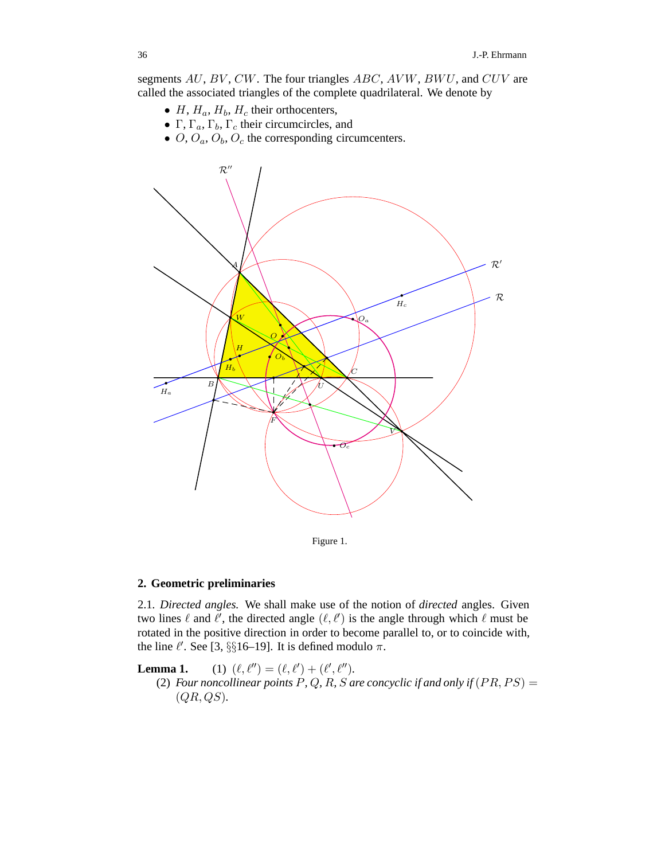segments AU, BV, CW. The four triangles ABC, AVW, BWU, and CUV are called the associated triangles of the complete quadrilateral. We denote by

- $H, H_a, H_b, H_c$  their orthocenters,
- <sup>Γ</sup>, <sup>Γ</sup>*a*, <sup>Γ</sup>*b*, <sup>Γ</sup>*<sup>c</sup>* their circumcircles, and
- $O$ ,  $O_a$ ,  $O_b$ ,  $O_c$  the corresponding circumcenters.



Figure 1.

# **2. Geometric preliminaries**

2.1*. Directed angles.* We shall make use of the notion of *directed* angles. Given two lines  $\ell$  and  $\ell'$ , the directed angle  $(\ell, \ell')$  is the angle through which  $\ell$  must be rotated in the positive direction in order to become parallel to, or to coincide with, the line  $\ell'$ . See [3, §§16–19]. It is defined modulo  $\pi$ .

Lemma 1.  $(\ell'') = (\ell, \ell') + (\ell', \ell'').$ (2) *Four noncollinear points*  $\hat{P}$ ,  $\hat{Q}$ ,  $\hat{R}$ ,  $\hat{S}$  *are concyclic if and only if*  $(PR, PS) =$  $(QR, QS)$ .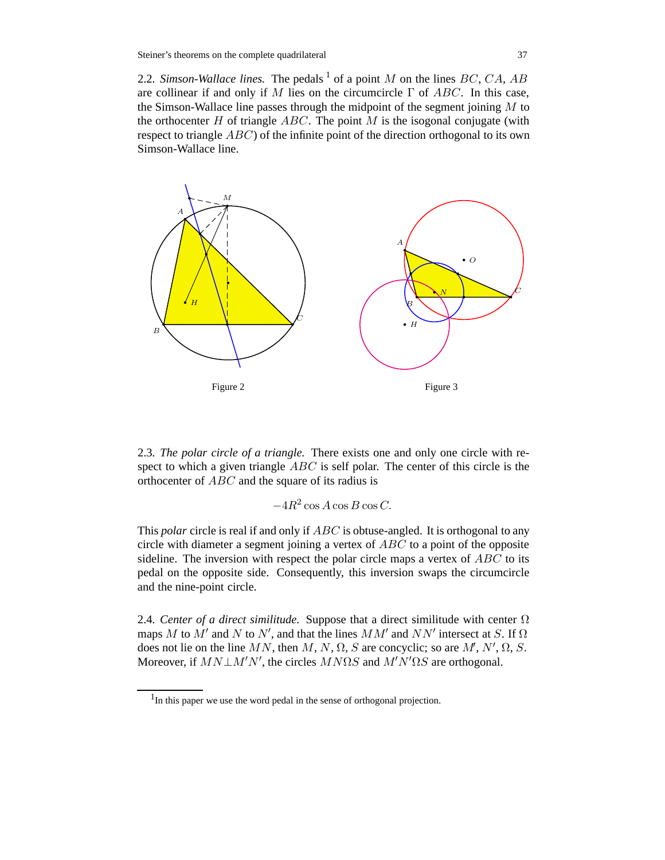2.2. Simson-Wallace lines. The pedals  $^1$  of a point M on the lines BC, CA, AB are collinear if and only if M lies on the circumcircle  $\Gamma$  of ABC. In this case, the Simson-Wallace line passes through the midpoint of the segment joining  $M$  to the orthocenter  $H$  of triangle  $ABC$ . The point  $M$  is the isogonal conjugate (with respect to triangle  $ABC$ ) of the infinite point of the direction orthogonal to its own Simson-Wallace line.



2.3*. The polar circle of a triangle.* There exists one and only one circle with respect to which a given triangle  $ABC$  is self polar. The center of this circle is the orthocenter of ABC and the square of its radius is

$$
-4R^2\cos A\cos B\cos C.
$$

This *polar* circle is real if and only if ABC is obtuse-angled. It is orthogonal to any circle with diameter a segment joining a vertex of  $ABC$  to a point of the opposite sideline. The inversion with respect the polar circle maps a vertex of  $ABC$  to its pedal on the opposite side. Consequently, this inversion swaps the circumcircle and the nine-point circle.

2.4. Center of a direct similitude. Suppose that a direct similitude with center  $\Omega$ maps M to  $M'$  and N to N', and that the lines  $MM'$  and NN' intersect at S. If  $\Omega$ does not lie on the line MN, then M, N,  $\Omega$ , S are concyclic; so are M', N',  $\Omega$ , S. Moreover, if  $MN \perp M'N'$ , the circles  $MN\Omega S$  and  $M'N'\Omega S$  are orthogonal.

 $<sup>1</sup>$ In this paper we use the word pedal in the sense of orthogonal projection.</sup>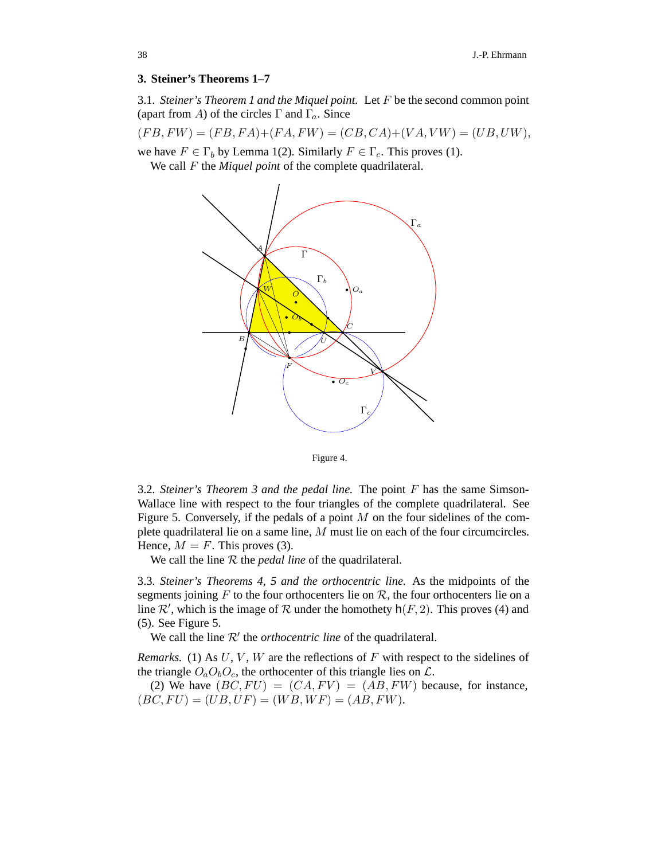#### **3. Steiner's Theorems 1–7**

3.1*. Steiner's Theorem 1 and the Miquel point.* Let F be the second common point (apart from A) of the circles Γ and Γ*a*. Since

$$
(FB, FW) = (FB, FA) + (FA, FW) = (CB, CA) + (VA, VW) = (UB, UW),
$$

we have  $F \in \Gamma_b$  by Lemma 1(2). Similarly  $F \in \Gamma_c$ . This proves (1).

We call F the *Miquel point* of the complete quadrilateral.





3.2*. Steiner's Theorem 3 and the pedal line.* The point F has the same Simson-Wallace line with respect to the four triangles of the complete quadrilateral. See Figure 5. Conversely, if the pedals of a point  $M$  on the four sidelines of the complete quadrilateral lie on a same line, M must lie on each of the four circumcircles. Hence,  $M = F$ . This proves (3).

We call the line  $R$  the *pedal line* of the quadrilateral.

3.3*. Steiner's Theorems 4, 5 and the orthocentric line.* As the midpoints of the segments joining F to the four orthocenters lie on  $R$ , the four orthocenters lie on a line  $\mathcal{R}'$ , which is the image of  $\mathcal R$  under the homothety  $h(F, 2)$ . This proves (4) and (5). See Figure 5.

We call the line  $\mathcal{R}'$  the *orthocentric line* of the quadrilateral.

*Remarks.* (1) As  $U, V, W$  are the reflections of  $F$  with respect to the sidelines of the triangle  $O_aO_bO_c$ , the orthocenter of this triangle lies on  $\mathcal{L}$ .

(2) We have  $(BC, FU) = (CA, FV) = (AB, FW)$  because, for instance,  $(BC, FU) = (UB, UF) = (WB, WF) = (AB, FW).$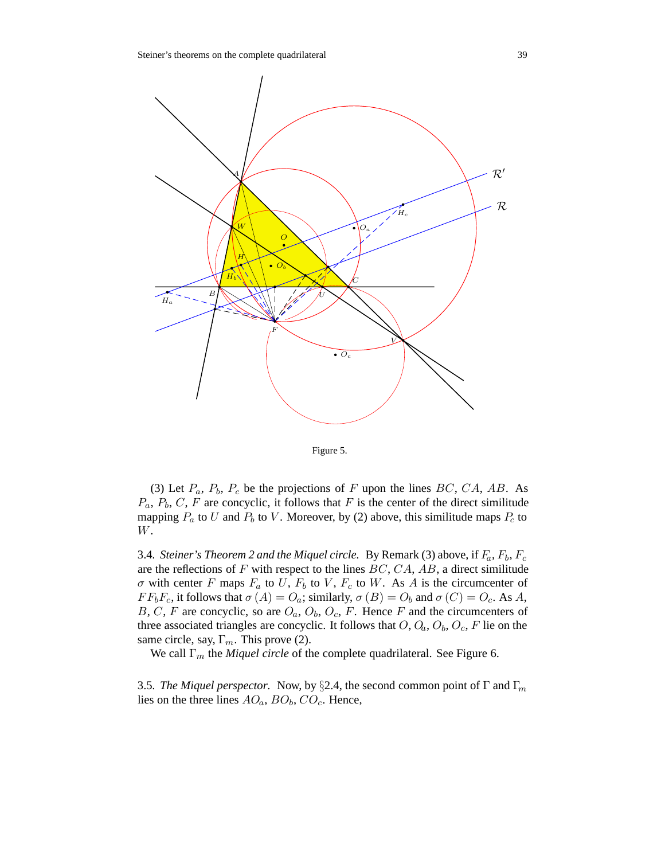

Figure 5.

(3) Let  $P_a$ ,  $P_b$ ,  $P_c$  be the projections of F upon the lines BC, CA, AB. As  $P_a$ ,  $P_b$ ,  $C$ ,  $F$  are concyclic, it follows that  $F$  is the center of the direct similitude mapping  $P_a$  to U and  $P_b$  to V. Moreover, by (2) above, this similitude maps  $P_c$  to W.

3.4*. Steiner's Theorem 2 and the Miquel circle.* By Remark (3) above, if F*a*, F*b*, F*<sup>c</sup>* are the reflections of  $F$  with respect to the lines  $BC, CA, AB$ , a direct similitude  $\sigma$  with center F maps  $F_a$  to U,  $F_b$  to V,  $F_c$  to W. As A is the circumcenter of  $FF_bF_c$ , it follows that  $\sigma(A) = O_a$ ; similarly,  $\sigma(B) = O_b$  and  $\sigma(C) = O_c$ . As A, B, C, F are concyclic, so are  $O_a$ ,  $O_b$ ,  $O_c$ , F. Hence F and the circumcenters of three associated triangles are concyclic. It follows that  $O, O_a, O_b, O_c, F$  lie on the same circle, say, Γ*m*. This prove (2).

We call Γ*<sup>m</sup>* the *Miquel circle* of the complete quadrilateral. See Figure 6.

3.5*. The Miquel perspector.* Now, by §2.4, the second common point of <sup>Γ</sup> and <sup>Γ</sup>*<sup>m</sup>* lies on the three lines  $AO_a$ ,  $BO_b$ ,  $CO_c$ . Hence,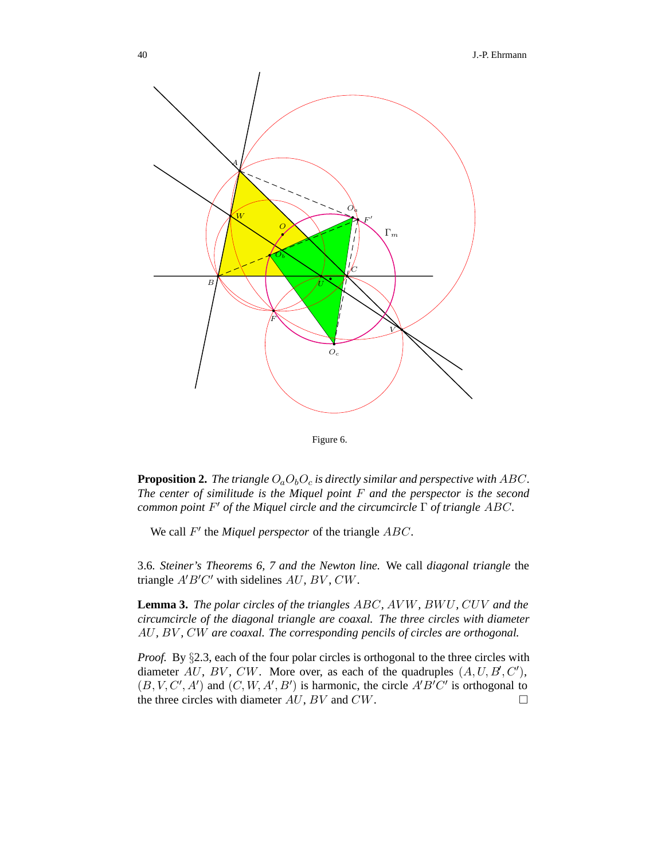

Figure 6.

**Proposition 2.** *The triangle*  $O_aO_bO_c$  *is directly similar and perspective with ABC*. *The center of similitude is the Miquel point* F *and the perspector is the second common point*  $F'$  *of the Miquel circle and the circumcircle*  $Γ$  *of triangle ABC*.

We call  $F'$  the *Miquel perspector* of the triangle  $ABC$ .

3.6*. Steiner's Theorems 6, 7 and the Newton line.* We call *diagonal triangle* the triangle  $A'B'C'$  with sidelines  $AU, BV, CW$ .

**Lemma 3.** *The polar circles of the triangles* ABC*,* AV W*,* BWU*,* CUV *and the circumcircle of the diagonal triangle are coaxal. The three circles with diameter* AU*,* BV *,* CW *are coaxal. The corresponding pencils of circles are orthogonal.*

*Proof.* By §2.3, each of the four polar circles is orthogonal to the three circles with diameter AU, BV, CW. More over, as each of the quadruples  $(A, U, B, C')$ ,  $(B, V, C', A')$  and  $(C, W, A', B')$  is harmonic, the circle  $A'B'C'$  is orthogonal to the three circles with diameter  $AU$ ,  $BV$  and  $CW$ .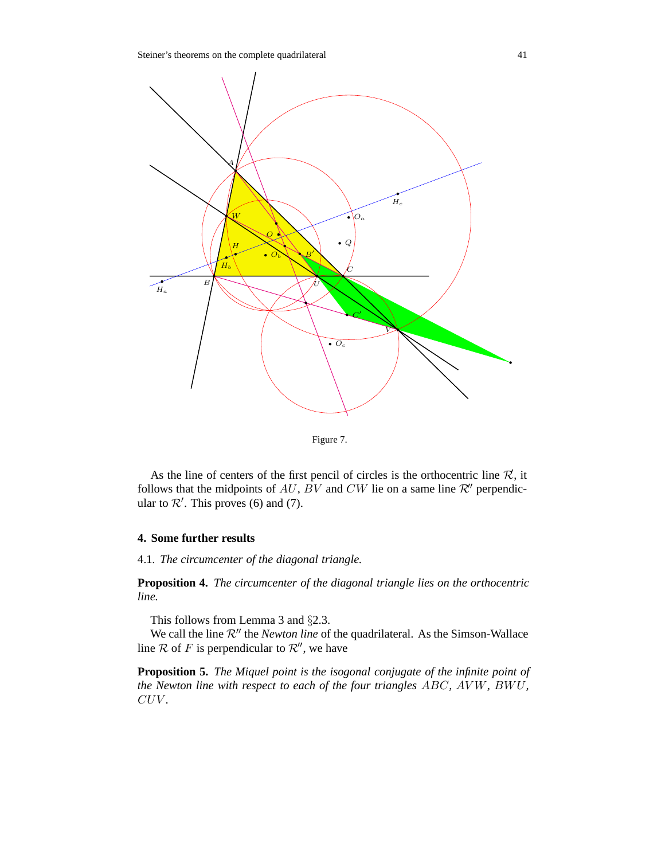

Figure 7.

As the line of centers of the first pencil of circles is the orthocentric line  $\mathcal{R}$ , it follows that the midpoints of AU, BV and CW lie on a same line  $\mathcal{R}$ <sup>''</sup> perpendicular to  $\mathcal{R}'$ . This proves (6) and (7).

### **4. Some further results**

4.1*. The circumcenter of the diagonal triangle.*

**Proposition 4.** *The circumcenter of the diagonal triangle lies on the orthocentric line.*

This follows from Lemma 3 and §2.3.

We call the line  $\mathcal{R}''$  the *Newton line* of the quadrilateral. As the Simson-Wallace line  $R$  of F is perpendicular to  $R''$ , we have

**Proposition 5.** *The Miquel point is the isogonal conjugate of the infinite point of the Newton line with respect to each of the four triangles* ABC*,* AV W*,* BWU*,* CUV *.*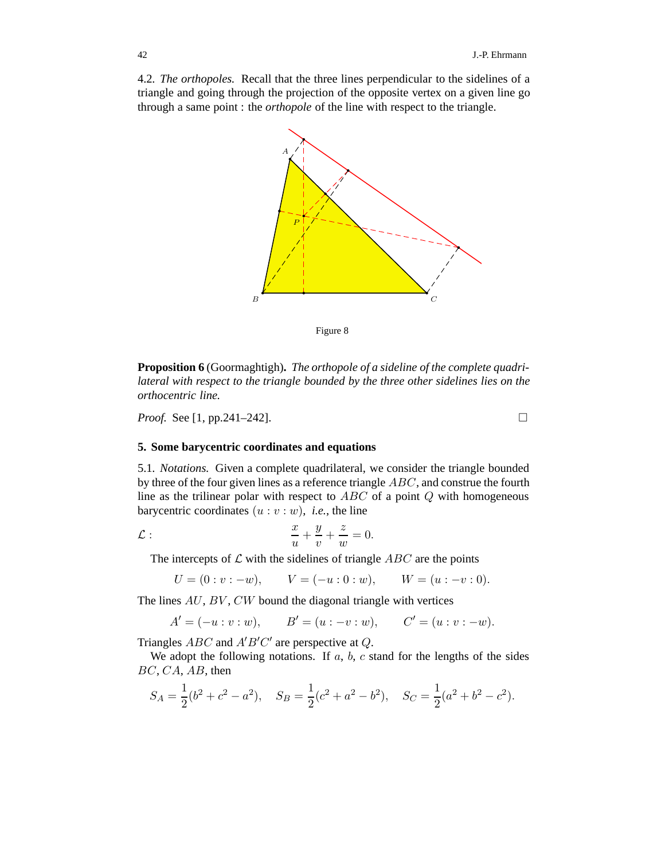4.2*. The orthopoles.* Recall that the three lines perpendicular to the sidelines of a triangle and going through the projection of the opposite vertex on a given line go through a same point : the *orthopole* of the line with respect to the triangle.



Figure 8

**Proposition 6** (Goormaghtigh)**.** *The orthopole of a sideline of the complete quadrilateral with respect to the triangle bounded by the three other sidelines lies on the orthocentric line.*

*Proof.* See [1, pp.241–242]. □

## **5. Some barycentric coordinates and equations**

5.1*. Notations.* Given a complete quadrilateral, we consider the triangle bounded by three of the four given lines as a reference triangle ABC, and construe the fourth line as the trilinear polar with respect to  $ABC$  of a point  $Q$  with homogeneous barycentric coordinates  $(u : v : w)$ , *i.e.*, the line

$$
\mathcal{L}:\qquad \qquad \frac{x}{u}+\frac{y}{v}+\frac{z}{w}=0.
$$

The intercepts of  $\mathcal L$  with the sidelines of triangle  $ABC$  are the points

$$
U = (0 : v : -w),
$$
  $V = (-u : 0 : w),$   $W = (u : -v : 0).$ 

The lines  $AU$ ,  $BV$ ,  $CW$  bound the diagonal triangle with vertices

 $A' = (-u : v : w),$   $B' = (u : -v : w),$   $C' = (u : v : -w).$ 

Triangles  $ABC$  and  $A'B'C'$  are perspective at  $Q$ .

We adopt the following notations. If  $a, b, c$  stand for the lengths of the sides  $BC, CA, AB$ , then

$$
S_A = \frac{1}{2}(b^2 + c^2 - a^2), \quad S_B = \frac{1}{2}(c^2 + a^2 - b^2), \quad S_C = \frac{1}{2}(a^2 + b^2 - c^2).
$$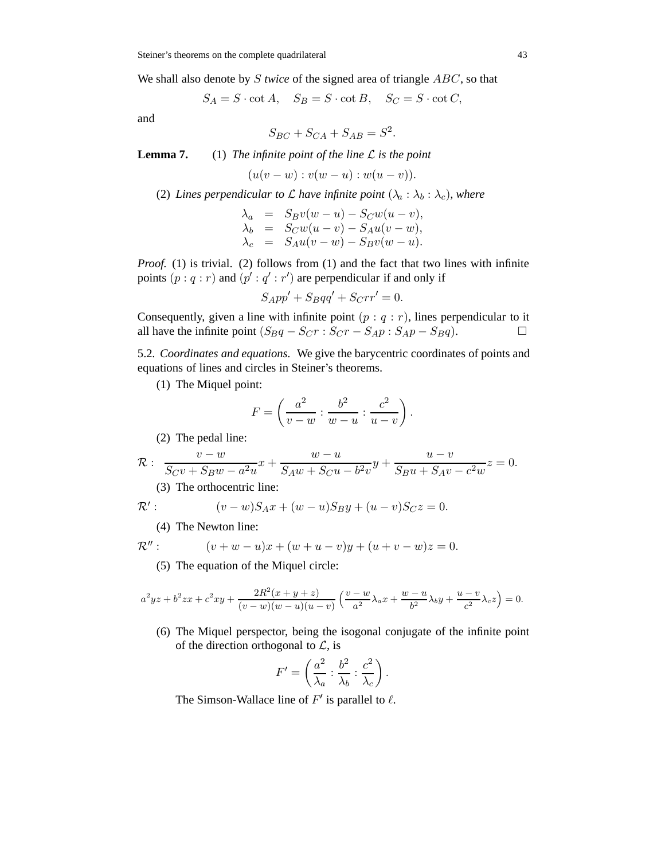We shall also denote by S *twice* of the signed area of triangle ABC, so that

$$
S_A = S \cdot \cot A, \quad S_B = S \cdot \cot B, \quad S_C = S \cdot \cot C,
$$

and

$$
S_{BC} + S_{CA} + S_{AB} = S^2.
$$

**Lemma 7.** (1) *The infinite point of the line* L *is the point*

$$
(u(v - w) : v(w - u) : w(u - v)).
$$

(2) *Lines perpendicular to L have infinite point*  $(\lambda_a : \lambda_b : \lambda_c)$ *, where* 

$$
\begin{array}{rcl}\n\lambda_a & = & S_B v(w-u) - S_C w(u-v), \\
\lambda_b & = & S_C w(u-v) - S_A u(v-w), \\
\lambda_c & = & S_A u(v-w) - S_B v(w-u).\n\end{array}
$$

*Proof.* (1) is trivial. (2) follows from (1) and the fact that two lines with infinite points  $(p: q: r)$  and  $(p': q': r')$  are perpendicular if and only if

$$
S_A pp' + S_B qq' + S_C rr' = 0.
$$

Consequently, given a line with infinite point  $(p : q : r)$ , lines perpendicular to it all have the infinite point  $(S_Bq - S_Cr : S_Cr - S_Ap : S_Ap - S_Bq)$ . □

5.2*. Coordinates and equations.* We give the barycentric coordinates of points and equations of lines and circles in Steiner's theorems.

(1) The Miquel point:

$$
F = \left(\frac{a^2}{v - w} : \frac{b^2}{w - u} : \frac{c^2}{u - v}\right).
$$

(2) The pedal line:

$$
\mathcal{R}: \frac{v-w}{S_C v + S_B w - a^2 u} x + \frac{w-u}{S_A w + S_C u - b^2 v} y + \frac{u-v}{S_B u + S_A v - c^2 w} z = 0.
$$

(3) The orthocentric line:

$$
\mathcal{R}' : \qquad (v - w)S_A x + (w - u)S_B y + (u - v)S_C z = 0.
$$

(4) The Newton line:

$$
\mathcal{R}'' : \qquad (v+w-u)x + (w+u-v)y + (u+v-w)z = 0.
$$

(5) The equation of the Miquel circle:

$$
a^{2}yz + b^{2}zx + c^{2}xy + \frac{2R^{2}(x+y+z)}{(v-w)(w-u)(u-v)} \left(\frac{v-w}{a^{2}}\lambda_{a}x + \frac{w-u}{b^{2}}\lambda_{b}y + \frac{u-v}{c^{2}}\lambda_{c}z\right) = 0.
$$

(6) The Miquel perspector, being the isogonal conjugate of the infinite point of the direction orthogonal to  $\mathcal{L}$ , is

$$
F' = \left(\frac{a^2}{\lambda_a} : \frac{b^2}{\lambda_b} : \frac{c^2}{\lambda_c}\right).
$$

The Simson-Wallace line of  $F'$  is parallel to  $\ell$ .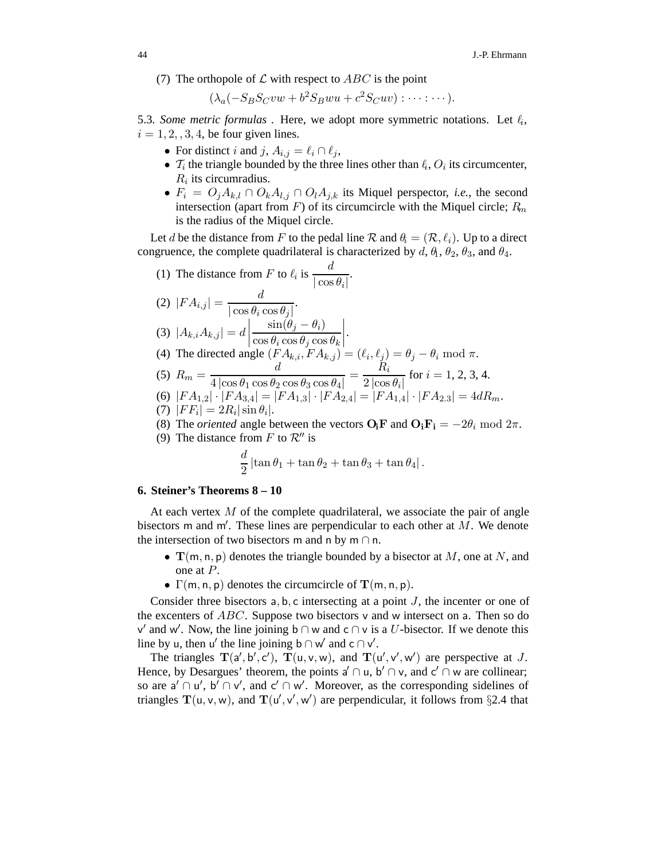(7) The orthopole of  $\mathcal L$  with respect to  $ABC$  is the point

 $(\lambda_a(-S_B S_C v w + b^2 S_B w u + c^2 S_C u v) : \cdots : \cdots).$ 

5.3. Some metric formulas . Here, we adopt more symmetric notations. Let  $\ell_i$ ,  $i = 1, 2, 3, 4$ , be four given lines.

- For distinct *i* and *j*,  $A_{i,j} = \ell_i \cap \ell_j$ ,
- $T_i$  the triangle bounded by the three lines other than  $\ell_i$ ,  $O_i$  its circumcenter,  $R_i$  its circumradius.
- $F_i = O_j A_{k,l} \cap O_k A_{l,j} \cap O_l A_{j,k}$  its Miquel perspector, *i.e.*, the second intersection (apart from  $F$ ) of its circumcircle with the Miquel circle;  $R_m$ is the radius of the Miquel circle.

Let d be the distance from F to the pedal line  $R$  and  $\theta_i = (R, \ell_i)$ . Up to a direct congruence, the complete quadrilateral is characterized by  $d, \theta_1, \theta_2, \theta_3$ , and  $\theta_4$ .

(1) The distance from F to  $\ell_i$  is  $\frac{d}{\ln n}$  $\frac{a}{|\cos\theta_i|}$ . (2)  $|FA_{i,j}| = \frac{d}{|\cos \theta_i \cos \theta_j|}.$ (3)  $|A_{k,i}A_{k,j}| = d$  $\sin(\theta_j - \theta_i)$  $\cos \theta_i \cos \theta_j \cos \theta_k$  $\begin{array}{c} \begin{array}{c} \begin{array}{c} \begin{array}{c} \end{array} \\ \end{array} \\ \begin{array}{c} \end{array} \end{array} \end{array} \end{array}$ . (4) The directed angle  $(FA_{k,i}, FA_{k,j}) = (\ell_i, \ell_j) = \theta_j - \theta_i \mod \pi$ . (5)  $R_m = \frac{d}{4 \log \theta \cos \theta}$  $4 \left| \cos \theta_1 \cos \theta_2 \cos \theta_3 \cos \theta_4 \right|$  $=\frac{R_i}{1}$  $\frac{n_i}{2 \left| \cos \theta_i \right|}$  for  $i = 1, 2, 3, 4$ . (6)  $|FA_{1,2}| \cdot |FA_{3,4}| = |FA_{1,3}| \cdot |FA_{2,4}| = |FA_{1,4}| \cdot |FA_{2,3}| = 4dR_m.$ 

(7) 
$$
|FF_i| = 2R_i|\sin\theta_i|.
$$

- (8) The *oriented* angle between the vectors  $O_i$ **F** and  $O_i$ **F**<sub>**i**</sub> =  $-2\theta_i$  mod  $2\pi$ .
- (9) The distance from F to  $\mathcal{R}''$  is

$$
\frac{d}{2}\left|\tan\theta_1+\tan\theta_2+\tan\theta_3+\tan\theta_4\right|.
$$

## **6. Steiner's Theorems 8 – 10**

At each vertex  $M$  of the complete quadrilateral, we associate the pair of angle bisectors m and m'. These lines are perpendicular to each other at  $\overline{M}$ . We denote the intersection of two bisectors m and n by m  $\cap$  n.

- $\mathbf{T}(m, n, p)$  denotes the triangle bounded by a bisector at M, one at N, and one at P.
- $\Gamma(m, n, p)$  denotes the circumcircle of  $\mathbf{T}(m, n, p)$ .

Consider three bisectors  $a, b, c$  intersecting at a point  $J$ , the incenter or one of the excenters of  $ABC$ . Suppose two bisectors v and w intersect on a. Then so do v' and w'. Now, the line joining b ∩ w and c ∩ v is a U-bisector. If we denote this line by u, then u' the line joining b ∩ w' and c ∩ v'.

The triangles  $T(a', b', c')$ ,  $T(u, v, w)$ , and  $T(u', v', w')$  are perspective at J. Hence, by Desargues' theorem, the points  $a' \cap u$ ,  $b' \cap v$ , and  $c' \cap w$  are collinear; so are  $a' \cap u'$ ,  $b' \cap v'$ , and  $c' \cap w'$ . Moreover, as the corresponding sidelines of triangles  $T(u, v, w)$ , and  $T(u', v', w')$  are perpendicular, it follows from §2.4 that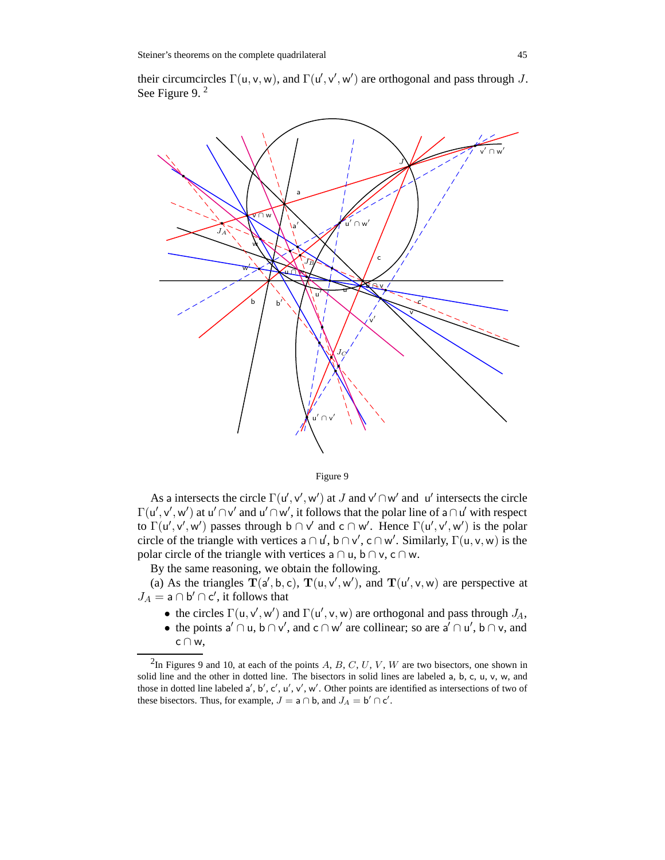their circumcircles  $\Gamma(u, v, w)$ , and  $\Gamma(u', v', w')$  are orthogonal and pass through J. See Figure 9. <sup>2</sup>



Figure 9

As a intersects the circle  $\Gamma(\mathsf{u}', \mathsf{v}', \mathsf{w}')$  at J and  $\mathsf{v}' \cap \mathsf{w}'$  and  $\mathsf{u}'$  intersects the circle  $\Gamma(u', v', w')$  at  $u' \cap v'$  and  $u' \cap w'$ , it follows that the polar line of a  $\cap u'$  with respect to  $\Gamma(u', v', w')$  passes through  $b \cap v'$  and  $c \cap w'$ . Hence  $\Gamma(u', v', w')$  is the polar circle of the triangle with vertices  $a \cap u'$ ,  $b \cap v'$ ,  $c \cap w'$ . Similarly,  $\Gamma(u, v, w)$  is the polar circle of the triangle with vertices  $a \cap u$ ,  $b \cap v$ ,  $c \cap w$ .

By the same reasoning, we obtain the following.

(a) As the triangles  $T(a', b, c)$ ,  $T(u, v', w')$ , and  $T(u', v, w)$  are perspective at  $J_A = \mathsf{a} \cap \mathsf{b}' \cap \mathsf{c}'$ , it follows that

- the circles  $\Gamma(\mathsf{u}, \mathsf{v}', \mathsf{w}')$  and  $\Gamma(\mathsf{u}', \mathsf{v}, \mathsf{w})$  are orthogonal and pass through  $J_A$ ,
- the points a' ∩ u,  $b \cap v'$ , and  $c \cap w'$  are collinear; so are a' ∩ u',  $b \cap v$ , and c ∩ w,

<sup>&</sup>lt;sup>2</sup>In Figures 9 and 10, at each of the points  $A, B, C, U, V, W$  are two bisectors, one shown in solid line and the other in dotted line. The bisectors in solid lines are labeled a, b, c, u, v, w, and those in dotted line labeled  $a'$ , b', c', u', v', w'. Other points are identified as intersections of two of these bisectors. Thus, for example,  $J = a \cap b$ , and  $J_A = b' \cap c'$ .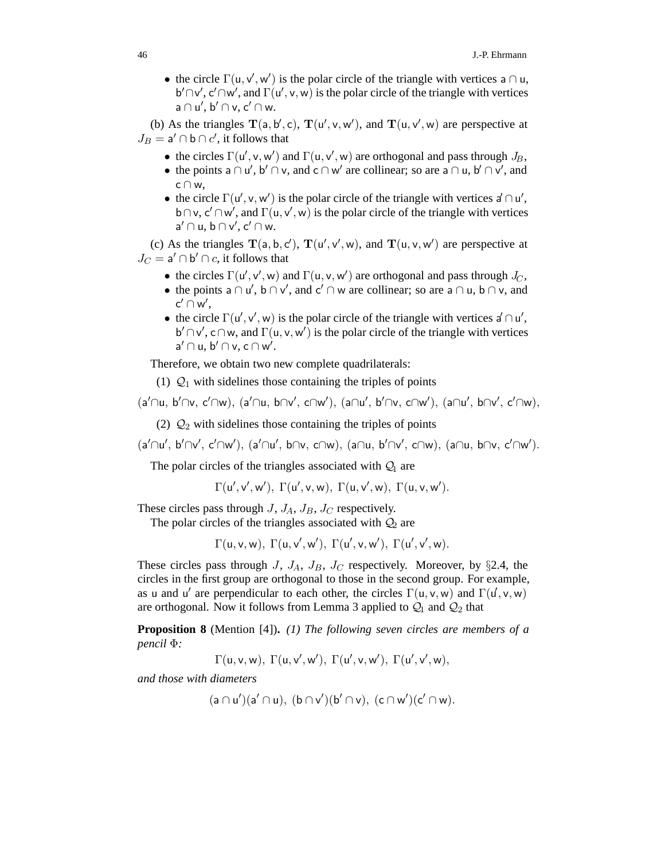• the circle  $\Gamma(u, v', w')$  is the polar circle of the triangle with vertices a  $\cap u$ , b'  $\cap v'$ , c' $\cap w'$ , and  $\Gamma(u', v, w)$  is the polar circle of the triangle with vertices  $a \cap u', b' \cap v, c' \cap w.$ 

(b) As the triangles  $T(a, b', c)$ ,  $T(u', v, w')$ , and  $T(u, v', w)$  are perspective at  $J_B = \mathsf{a}' \cap \mathsf{b} \cap c'$ , it follows that

- the circles  $\Gamma(\mathsf{u}', \mathsf{v}, \mathsf{w}')$  and  $\Gamma(\mathsf{u}, \mathsf{v}', \mathsf{w})$  are orthogonal and pass through  $J_B$ ,
- the points  $a \cap u'$ ,  $b' \cap v$ , and  $c \cap w'$  are collinear; so are  $a \cap u$ ,  $b' \cap v'$ , and c ∩ w,
- the circle  $\Gamma(u', v, w')$  is the polar circle of the triangle with vertices  $d \cap u'$ , b∩v, c'∩w', and  $\Gamma(u, v', w)$  is the polar circle of the triangle with vertices  $a' \cap u$ ,  $b \cap v'$ ,  $c' \cap w$ .

(c) As the triangles  $T(a, b, c')$ ,  $T(u', v', w)$ , and  $T(u, v, w')$  are perspective at  $J_C = a' \cap b' \cap c$ , it follows that

- the circles  $\Gamma(\mathsf{u}', \mathsf{v}', \mathsf{w})$  and  $\Gamma(\mathsf{u}, \mathsf{v}, \mathsf{w}')$  are orthogonal and pass through  $J_C$ ,
- the points  $a \cap u'$ ,  $b \cap v'$ , and  $c' \cap w$  are collinear; so are  $a \cap u$ ,  $b \cap v$ , and  $\mathsf{c}'\cap\mathsf{w}',$
- the circle  $\Gamma(u', v', w)$  is the polar circle of the triangle with vertices  $a' \cap u'$ ,  $b' \cap v'$ , c $\cap w$ , and  $\Gamma(u, v, w')$  is the polar circle of the triangle with vertices  $a' \cap u, b' \cap v, c \cap w'.$

Therefore, we obtain two new complete quadrilaterals:

(1)  $Q_1$  with sidelines those containing the triples of points

 $(a'\cap u, b'\cap v, c'\cap w), (a'\cap u, b\cap v', c\cap w'), (a\cap u', b'\cap v, c\cap w'), (a\cap u', b\cap v', c'\cap w),$ 

(2)  $\mathcal{Q}_2$  with sidelines those containing the triples of points

 $(a'\cap u', b'\cap v', c'\cap w'), (a'\cap u', b\cap v, c\cap w), (a\cap u, b'\cap v', c\cap w), (a\cap u, b\cap v, c'\cap w').$ 

The polar circles of the triangles associated with  $Q_1$  are

$$
\Gamma(u',v',w'), \Gamma(u',v,w), \Gamma(u,v',w), \Gamma(u,v,w').
$$

These circles pass through  $J$ ,  $J_A$ ,  $J_B$ ,  $J_C$  respectively.

The polar circles of the triangles associated with  $Q_2$  are

 $\Gamma(\mathsf{u},\mathsf{v},\mathsf{w}),\ \Gamma(\mathsf{u},\mathsf{v}',\mathsf{w}'),\ \Gamma(\mathsf{u}',\mathsf{v},\mathsf{w}'),\ \Gamma(\mathsf{u}',\mathsf{v}',\mathsf{w}).$ 

These circles pass through  $J$ ,  $J_A$ ,  $J_B$ ,  $J_C$  respectively. Moreover, by §2.4, the circles in the first group are orthogonal to those in the second group. For example, as u and u' are perpendicular to each other, the circles  $\Gamma(u, v, w)$  and  $\Gamma(u', v, w)$ are orthogonal. Now it follows from Lemma 3 applied to  $\mathcal{Q}_1$  and  $\mathcal{Q}_2$  that

**Proposition 8** (Mention [4])**.** *(1) The following seven circles are members of a pencil* Φ*:*

 $\Gamma(\mathsf{u},\mathsf{v},\mathsf{w}),\ \Gamma(\mathsf{u},\mathsf{v}',\mathsf{w}'),\ \Gamma(\mathsf{u}',\mathsf{v},\mathsf{w}'),\ \Gamma(\mathsf{u}',\mathsf{v}',\mathsf{w}),$ 

*and those with diameters*

$$
(a\cap u')(a'\cap u),\ (b\cap v')(b'\cap v),\ (c\cap w')(c'\cap w).
$$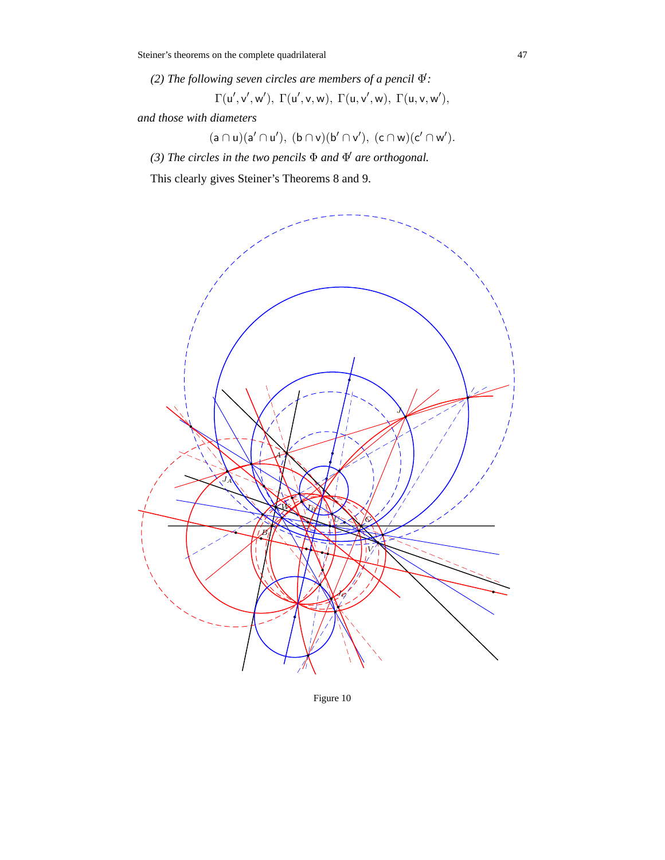(2) The following seven circles are members of a pencil  $\Phi$ :

 $\Gamma(\mathsf{u}',\mathsf{v}',\mathsf{w}'), \ \Gamma(\mathsf{u}',\mathsf{v},\mathsf{w}), \ \Gamma(\mathsf{u},\mathsf{v}',\mathsf{w}), \ \Gamma(\mathsf{u},\mathsf{v},\mathsf{w}'),$ 

*and those with diameters*

 $(a \cap u)(a' \cap u'), (b \cap v)(b' \cap v'), (c \cap w)(c' \cap w').$ 

*(3) The circles in the two pencils* Φ *and* Φ *are orthogonal.*

This clearly gives Steiner's Theorems 8 and 9.



Figure 10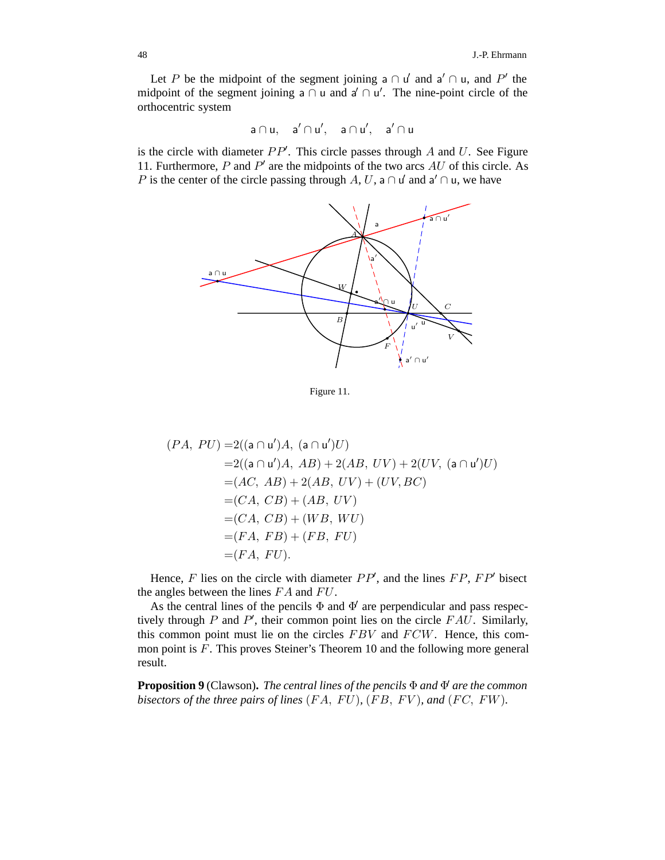Let P be the midpoint of the segment joining a  $\cap$  u' and a'  $\cap$  u, and P' the midpoint of the segment joining a  $\cap$  u and a'  $\cap$  u'. The nine-point circle of the orthocentric system

$$
a\cap u,\quad a'\cap u',\quad a\cap u',\quad a'\cap u
$$

is the circle with diameter  $PP'$ . This circle passes through  $A$  and  $U$ . See Figure 11. Furthermore,  $P$  and  $P'$  are the midpoints of the two arcs  $AU$  of this circle. As P is the center of the circle passing through A, U, a  $\cap$  u' and a'  $\cap$  u, we have



Figure 11.

$$
(PA, PU) = 2((a \cap u')A, (a \cap u')U)
$$
  
= 2((a \cap u')A, AB) + 2(AB, UV) + 2(UV, (a \cap u')U)  
= (AC, AB) + 2(AB, UV) + (UV, BC)  
= (CA, CB) + (AB, UV)  
= (CA, CB) + (WB, WU)  
= (FA, FB) + (FB, FU)  
= (FA, FU).

Hence,  $F$  lies on the circle with diameter  $PP'$ , and the lines  $FP$ ,  $FP'$  bisect the angles between the lines  $FA$  and  $FU$ .

As the central lines of the pencils  $\Phi$  and  $\Phi'$  are perpendicular and pass respectively through P and P', their common point lies on the circle  $FAU$ . Similarly, this common point must lie on the circles FBV and FCW. Hence, this common point is F. This proves Steiner's Theorem 10 and the following more general result.

**Proposition 9** (Clawson)**.** *The central lines of the pencils* Φ *and* Φ *are the common bisectors of the three pairs of lines*  $(FA, FU)$ ,  $(FB, FV)$ *, and*  $(FC, FW)$ *.*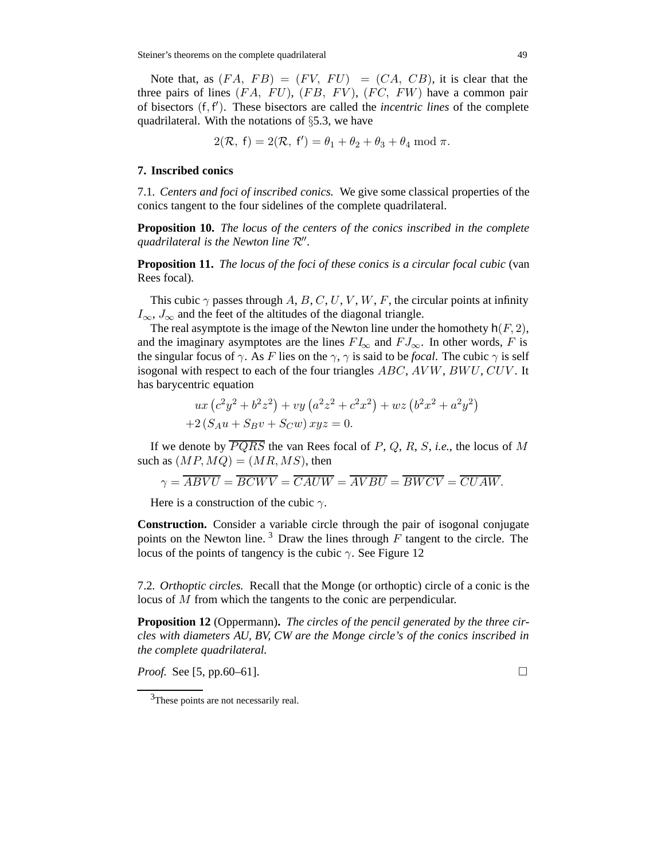Note that, as  $(FA, FB) = (FV, FU) = (CA, CB)$ , it is clear that the three pairs of lines  $(FA, FU), (FB, FV), (FC, FW)$  have a common pair of bisectors (f, f ). These bisectors are called the *incentric lines* of the complete quadrilateral. With the notations of §5.3, we have

$$
2(\mathcal{R},\ f)=2(\mathcal{R},\ f')=\theta_1+\theta_2+\theta_3+\theta_4\ \mathrm{mod}\ \pi.
$$

#### **7. Inscribed conics**

7.1*. Centers and foci of inscribed conics.* We give some classical properties of the conics tangent to the four sidelines of the complete quadrilateral.

**Proposition 10.** *The locus of the centers of the conics inscribed in the complete quadrilateral is the Newton line* R*.*

**Proposition 11.** *The locus of the foci of these conics is a circular focal cubic* (van Rees focal)*.*

This cubic  $\gamma$  passes through A, B, C, U, V, W, F, the circular points at infinity  $I_{\infty}$ ,  $J_{\infty}$  and the feet of the altitudes of the diagonal triangle.

The real asymptote is the image of the Newton line under the homothety  $h(F, 2)$ , and the imaginary asymptotes are the lines  $FI_{\infty}$  and  $FJ_{\infty}$ . In other words, F is the singular focus of  $\gamma$ . As F lies on the  $\gamma$ ,  $\gamma$  is said to be *focal*. The cubic  $\gamma$  is self isogonal with respect to each of the four triangles  $ABC$ ,  $AVW$ ,  $BWU$ ,  $CUV$ . It has barycentric equation

$$
ux (c2y2 + b2z2) + vy (a2z2 + c2x2) + wz (b2x2 + a2y2)
$$
  
+2(S<sub>A</sub>u + S<sub>B</sub>v + S<sub>C</sub>w) xyz = 0.

If we denote by  $\overline{PQRS}$  the van Rees focal of P, Q, R, S, *i.e.*, the locus of M such as  $(MP,MQ) = (MR, MS)$ , then

$$
\gamma = \overline{ABVU} = \overline{BCWV} = \overline{CAUW} = \overline{AVBU} = \overline{BWCV} = \overline{CUAW}.
$$

Here is a construction of the cubic  $\gamma$ .

**Construction.** Consider a variable circle through the pair of isogonal conjugate points on the Newton line.<sup>3</sup> Draw the lines through  $F$  tangent to the circle. The locus of the points of tangency is the cubic  $\gamma$ . See Figure 12

7.2*. Orthoptic circles.* Recall that the Monge (or orthoptic) circle of a conic is the locus of M from which the tangents to the conic are perpendicular.

**Proposition 12** (Oppermann)**.** *The circles of the pencil generated by the three circles with diameters AU, BV, CW are the Monge circle's of the conics inscribed in the complete quadrilateral.*

*Proof.* See [5, pp.60–61].

<sup>&</sup>lt;sup>3</sup>These points are not necessarily real.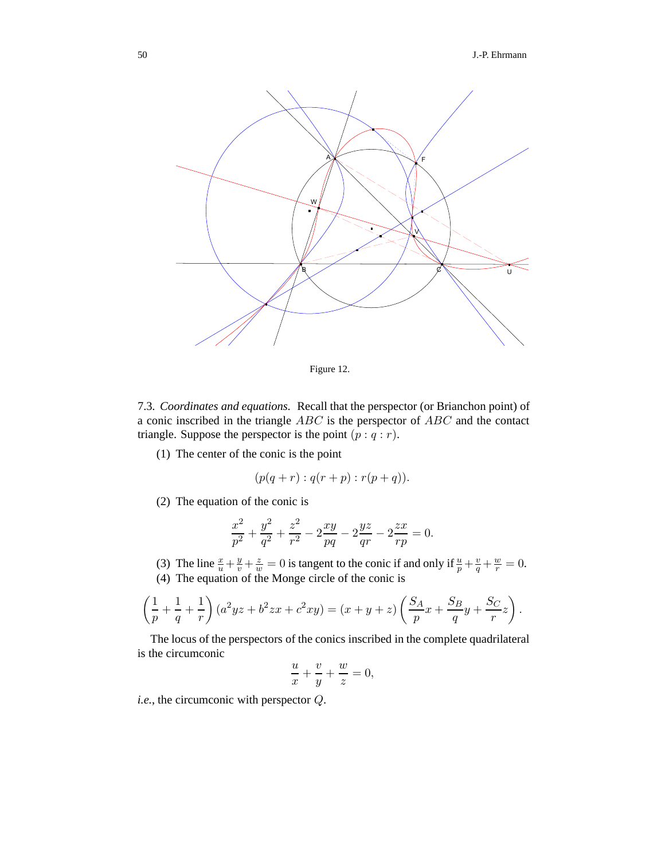

Figure 12.

7.3*. Coordinates and equations.* Recall that the perspector (or Brianchon point) of a conic inscribed in the triangle ABC is the perspector of ABC and the contact triangle. Suppose the perspector is the point  $(p : q : r)$ .

(1) The center of the conic is the point

$$
(p(q+r):q(r+p):r(p+q)).
$$

(2) The equation of the conic is

$$
\frac{x^2}{p^2} + \frac{y^2}{q^2} + \frac{z^2}{r^2} - 2\frac{xy}{pq} - 2\frac{yz}{qr} - 2\frac{zx}{rp} = 0.
$$

- (3) The line  $\frac{x}{u} + \frac{y}{v} + \frac{z}{w} = 0$  is tangent to the conic if and only if  $\frac{u}{p} + \frac{v}{q} + \frac{w}{r} = 0$ .
- (4) The equation of the Monge circle of the conic is

$$
\left(\frac{1}{p} + \frac{1}{q} + \frac{1}{r}\right)(a^2yz + b^2zx + c^2xy) = (x + y + z)\left(\frac{S_A}{p}x + \frac{S_B}{q}y + \frac{S_C}{r}z\right).
$$

The locus of the perspectors of the conics inscribed in the complete quadrilateral is the circumconic

$$
\frac{u}{x} + \frac{v}{y} + \frac{w}{z} = 0,
$$

*i.e.*, the circumconic with perspector Q.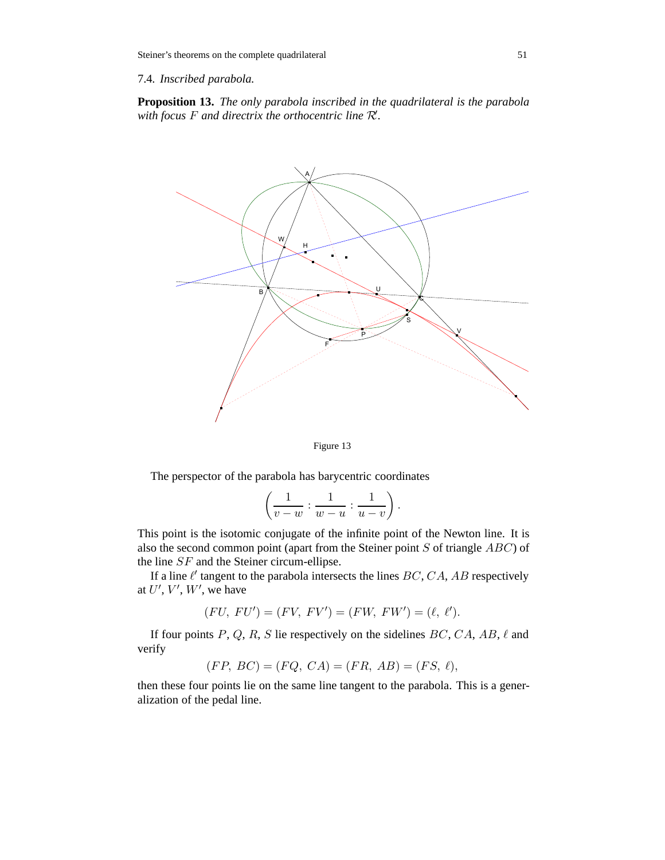7.4*. Inscribed parabola.*

**Proposition 13.** *The only parabola inscribed in the quadrilateral is the parabola with focus* <sup>F</sup> *and directrix the orthocentric line* <sup>R</sup> *.*



Figure 13

The perspector of the parabola has barycentric coordinates

$$
\left(\frac{1}{v-w}:\frac{1}{w-u}:\frac{1}{u-v}\right).
$$

This point is the isotomic conjugate of the infinite point of the Newton line. It is also the second common point (apart from the Steiner point  $S$  of triangle  $ABC$ ) of the line SF and the Steiner circum-ellipse.

If a line  $\ell'$  tangent to the parabola intersects the lines  $BC, CA, AB$  respectively at  $U'$ ,  $V'$ ,  $W'$ , we have

$$
(FU, FU') = (FV, FV') = (FW, FW') = (\ell, \ell').
$$

If four points P, Q, R, S lie respectively on the sidelines  $BC, CA, AB, \ell$  and verify

$$
(FP, BC) = (FQ, CA) = (FR, AB) = (FS, \ell),
$$

then these four points lie on the same line tangent to the parabola. This is a generalization of the pedal line.